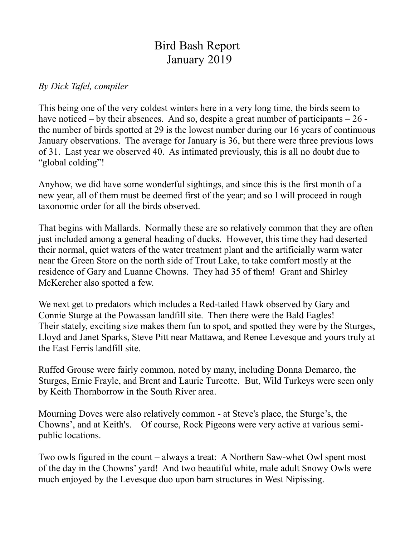## Bird Bash Report January 2019

## *By Dick Tafel, compiler*

This being one of the very coldest winters here in a very long time, the birds seem to have noticed – by their absences. And so, despite a great number of participants – 26 the number of birds spotted at 29 is the lowest number during our 16 years of continuous January observations. The average for January is 36, but there were three previous lows of 31. Last year we observed 40. As intimated previously, this is all no doubt due to "global colding"!

Anyhow, we did have some wonderful sightings, and since this is the first month of a new year, all of them must be deemed first of the year; and so I will proceed in rough taxonomic order for all the birds observed.

That begins with Mallards. Normally these are so relatively common that they are often just included among a general heading of ducks. However, this time they had deserted their normal, quiet waters of the water treatment plant and the artificially warm water near the Green Store on the north side of Trout Lake, to take comfort mostly at the residence of Gary and Luanne Chowns. They had 35 of them! Grant and Shirley McKercher also spotted a few.

We next get to predators which includes a Red-tailed Hawk observed by Gary and Connie Sturge at the Powassan landfill site. Then there were the Bald Eagles! Their stately, exciting size makes them fun to spot, and spotted they were by the Sturges, Lloyd and Janet Sparks, Steve Pitt near Mattawa, and Renee Levesque and yours truly at the East Ferris landfill site.

Ruffed Grouse were fairly common, noted by many, including Donna Demarco, the Sturges, Ernie Frayle, and Brent and Laurie Turcotte. But, Wild Turkeys were seen only by Keith Thornborrow in the South River area.

Mourning Doves were also relatively common - at Steve's place, the Sturge's, the Chowns', and at Keith's. Of course, Rock Pigeons were very active at various semipublic locations.

Two owls figured in the count – always a treat: A Northern Saw-whet Owl spent most of the day in the Chowns' yard! And two beautiful white, male adult Snowy Owls were much enjoyed by the Levesque duo upon barn structures in West Nipissing.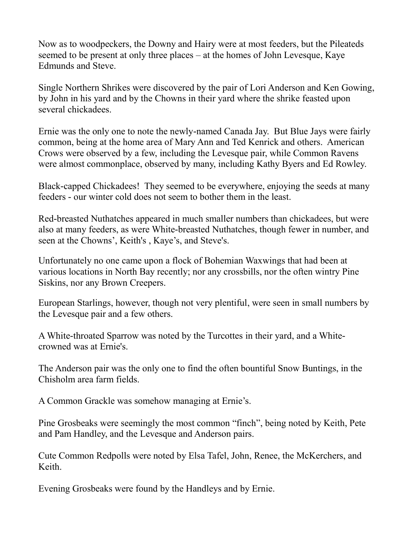Now as to woodpeckers, the Downy and Hairy were at most feeders, but the Pileateds seemed to be present at only three places – at the homes of John Levesque, Kaye Edmunds and Steve.

Single Northern Shrikes were discovered by the pair of Lori Anderson and Ken Gowing, by John in his yard and by the Chowns in their yard where the shrike feasted upon several chickadees.

Ernie was the only one to note the newly-named Canada Jay. But Blue Jays were fairly common, being at the home area of Mary Ann and Ted Kenrick and others. American Crows were observed by a few, including the Levesque pair, while Common Ravens were almost commonplace, observed by many, including Kathy Byers and Ed Rowley.

Black-capped Chickadees! They seemed to be everywhere, enjoying the seeds at many feeders - our winter cold does not seem to bother them in the least.

Red-breasted Nuthatches appeared in much smaller numbers than chickadees, but were also at many feeders, as were White-breasted Nuthatches, though fewer in number, and seen at the Chowns', Keith's , Kaye's, and Steve's.

Unfortunately no one came upon a flock of Bohemian Waxwings that had been at various locations in North Bay recently; nor any crossbills, nor the often wintry Pine Siskins, nor any Brown Creepers.

European Starlings, however, though not very plentiful, were seen in small numbers by the Levesque pair and a few others.

A White-throated Sparrow was noted by the Turcottes in their yard, and a Whitecrowned was at Ernie's.

The Anderson pair was the only one to find the often bountiful Snow Buntings, in the Chisholm area farm fields.

A Common Grackle was somehow managing at Ernie's.

Pine Grosbeaks were seemingly the most common "finch", being noted by Keith, Pete and Pam Handley, and the Levesque and Anderson pairs.

Cute Common Redpolls were noted by Elsa Tafel, John, Renee, the McKerchers, and Keith.

Evening Grosbeaks were found by the Handleys and by Ernie.